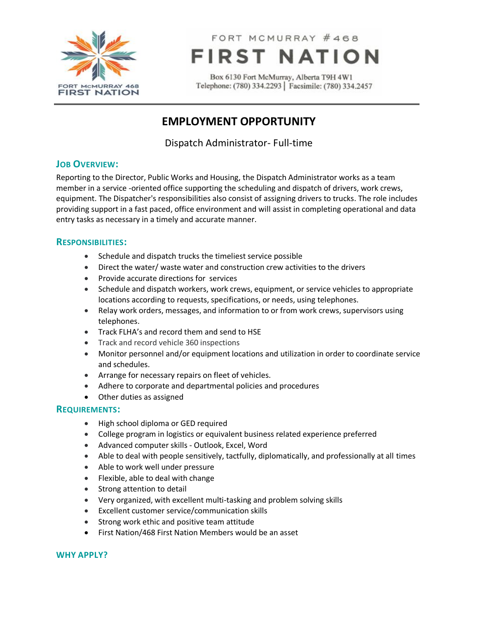

FORT MCMURRAY #468 **FIRST NATION** 

Box 6130 Fort McMurray, Alberta T9H 4W1 Telephone: (780) 334.2293 | Facsimile: (780) 334.2457

# **EMPLOYMENT OPPORTUNITY**

Dispatch Administrator- Full-time

# **JOB OVERVIEW:**

Reporting to the Director, Public Works and Housing, the Dispatch Administrator works as a team member in a service -oriented office supporting the scheduling and dispatch of drivers, work crews, equipment. The Dispatcher's responsibilities also consist of assigning drivers to trucks. The role includes providing support in a fast paced, office environment and will assist in completing operational and data entry tasks as necessary in a timely and accurate manner.

### **RESPONSIBILITIES:**

- Schedule and dispatch trucks the timeliest service possible
- Direct the water/ waste water and construction crew activities to the drivers
- Provide accurate directions for services
- Schedule and dispatch workers, work crews, equipment, or service vehicles to appropriate locations according to requests, specifications, or needs, using telephones.
- Relay work orders, messages, and information to or from work crews, supervisors using telephones.
- Track FLHA's and record them and send to HSE
- Track and record vehicle 360 inspections
- Monitor personnel and/or equipment locations and utilization in order to coordinate service and schedules.
- Arrange for necessary repairs on fleet of vehicles.
- Adhere to corporate and departmental policies and procedures
- Other duties as assigned

### **REQUIREMENTS:**

- High school diploma or GED required
- College program in logistics or equivalent business related experience preferred
- Advanced computer skills Outlook, Excel, Word
- Able to deal with people sensitively, tactfully, diplomatically, and professionally at all times
- Able to work well under pressure
- Flexible, able to deal with change
- Strong attention to detail
- Very organized, with excellent multi-tasking and problem solving skills
- Excellent customer service/communication skills
- Strong work ethic and positive team attitude
- First Nation/468 First Nation Members would be an asset

#### **WHY APPLY?**